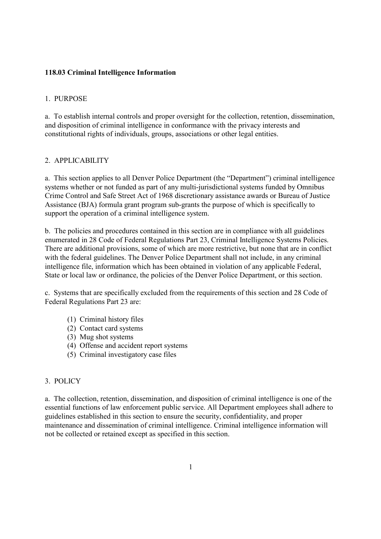# **118.03 Criminal Intelligence Information**

## 1. PURPOSE

a. To establish internal controls and proper oversight for the collection, retention, dissemination, and disposition of criminal intelligence in conformance with the privacy interests and constitutional rights of individuals, groups, associations or other legal entities.

# 2. APPLICABILITY

a. This section applies to all Denver Police Department (the "Department") criminal intelligence systems whether or not funded as part of any multi-jurisdictional systems funded by Omnibus Crime Control and Safe Street Act of 1968 discretionary assistance awards or Bureau of Justice Assistance (BJA) formula grant program sub-grants the purpose of which is specifically to support the operation of a criminal intelligence system.

b. The policies and procedures contained in this section are in compliance with all guidelines enumerated in 28 Code of Federal Regulations Part 23, Criminal Intelligence Systems Policies. There are additional provisions, some of which are more restrictive, but none that are in conflict with the federal guidelines. The Denver Police Department shall not include, in any criminal intelligence file, information which has been obtained in violation of any applicable Federal, State or local law or ordinance, the policies of the Denver Police Department, or this section.

c. Systems that are specifically excluded from the requirements of this section and 28 Code of Federal Regulations Part 23 are:

- (1) Criminal history files
- (2) Contact card systems
- (3) Mug shot systems
- (4) Offense and accident report systems
- (5) Criminal investigatory case files

## 3. POLICY

a. The collection, retention, dissemination, and disposition of criminal intelligence is one of the essential functions of law enforcement public service. All Department employees shall adhere to guidelines established in this section to ensure the security, confidentiality, and proper maintenance and dissemination of criminal intelligence. Criminal intelligence information will not be collected or retained except as specified in this section.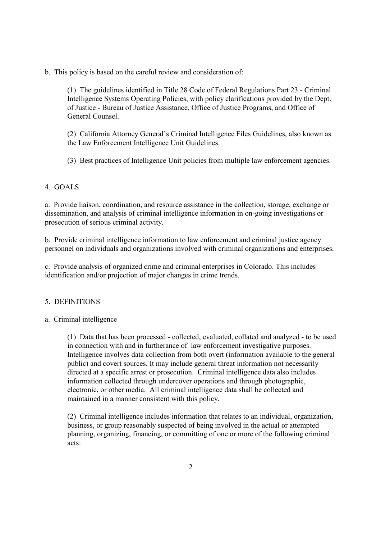b. This policy is based on the careful review and consideration of:

(1) The guidelines identified in Title 28 Code of Federal Regulations Part 23 - Criminal Intelligence Systems Operating Policies, with policy clarifications provided by the Dept. of Justice - Bureau of Justice Assistance, Office of Justice Programs, and Office of General Counsel.

(2) California Attorney General's Criminal Intelligence Files Guidelines, also known as the Law Enforcement Intelligence Unit Guidelines.

(3) Best practices of Intelligence Unit policies from multiple law enforcement agencies.

# 4. GOALS

a. Provide liaison, coordination, and resource assistance in the collection, storage, exchange or dissemination, and analysis of criminal intelligence information in on-going investigations or prosecution of serious criminal activity.

b. Provide criminal intelligence information to law enforcement and criminal justice agency personnel on individuals and organizations involved with criminal organizations and enterprises.

c. Provide analysis of organized crime and criminal enterprises in Colorado. This includes identification and/or projection of major changes in crime trends.

## 5. DEFINITIONS

## a. Criminal intelligence

(1) Data that has been processed - collected, evaluated, collated and analyzed - to be used in connection with and in furtherance of law enforcement investigative purposes. Intelligence involves data collection from both overt (information available to the general public) and covert sources. It may include general threat information not necessarily directed at a specific arrest or prosecution. Criminal intelligence data also includes information collected through undercover operations and through photographic, electronic, or other media. All criminal intelligence data shall be collected and maintained in a manner consistent with this policy.

(2) Criminal intelligence includes information that relates to an individual, organization, business, or group reasonably suspected of being involved in the actual or attempted planning, organizing, financing, or committing of one or more of the following criminal acts: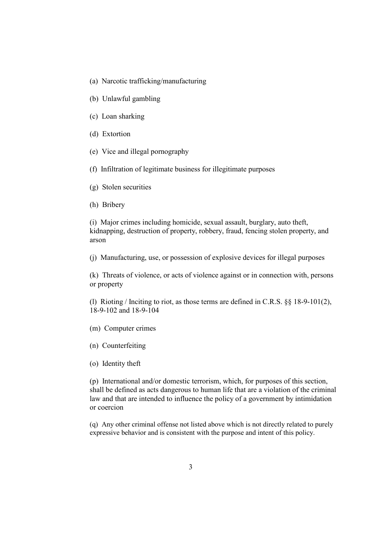- (a) Narcotic trafficking/manufacturing
- (b) Unlawful gambling
- (c) Loan sharking
- (d) Extortion
- (e) Vice and illegal pornography
- (f) Infiltration of legitimate business for illegitimate purposes
- (g) Stolen securities
- (h) Bribery

(i) Major crimes including homicide, sexual assault, burglary, auto theft, kidnapping, destruction of property, robbery, fraud, fencing stolen property, and arson

(j) Manufacturing, use, or possession of explosive devices for illegal purposes

(k) Threats of violence, or acts of violence against or in connection with, persons or property

(l) Rioting / Inciting to riot, as those terms are defined in C.R.S. §§ 18-9-101(2), 18-9-102 and 18-9-104

- (m) Computer crimes
- (n) Counterfeiting
- (o) Identity theft

(p) International and/or domestic terrorism, which, for purposes of this section, shall be defined as acts dangerous to human life that are a violation of the criminal law and that are intended to influence the policy of a government by intimidation or coercion

(q) Any other criminal offense not listed above which is not directly related to purely expressive behavior and is consistent with the purpose and intent of this policy.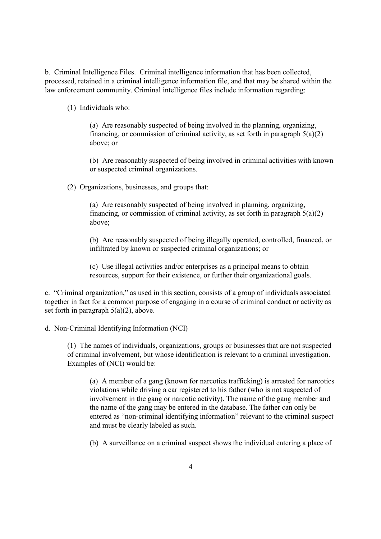b. Criminal Intelligence Files. Criminal intelligence information that has been collected, processed, retained in a criminal intelligence information file, and that may be shared within the law enforcement community. Criminal intelligence files include information regarding:

(1) Individuals who:

(a) Are reasonably suspected of being involved in the planning, organizing, financing, or commission of criminal activity, as set forth in paragraph  $5(a)(2)$ above; or

(b) Are reasonably suspected of being involved in criminal activities with known or suspected criminal organizations.

(2) Organizations, businesses, and groups that:

(a) Are reasonably suspected of being involved in planning, organizing, financing, or commission of criminal activity, as set forth in paragraph  $5(a)(2)$ above;

(b) Are reasonably suspected of being illegally operated, controlled, financed, or infiltrated by known or suspected criminal organizations; or

(c) Use illegal activities and/or enterprises as a principal means to obtain resources, support for their existence, or further their organizational goals.

c. "Criminal organization," as used in this section, consists of a group of individuals associated together in fact for a common purpose of engaging in a course of criminal conduct or activity as set forth in paragraph  $5(a)(2)$ , above.

d. Non-Criminal Identifying Information (NCI)

(1) The names of individuals, organizations, groups or businesses that are not suspected of criminal involvement, but whose identification is relevant to a criminal investigation. Examples of (NCI) would be:

(a) A member of a gang (known for narcotics trafficking) is arrested for narcotics violations while driving a car registered to his father (who is not suspected of involvement in the gang or narcotic activity). The name of the gang member and the name of the gang may be entered in the database. The father can only be entered as "non-criminal identifying information" relevant to the criminal suspect and must be clearly labeled as such.

(b) A surveillance on a criminal suspect shows the individual entering a place of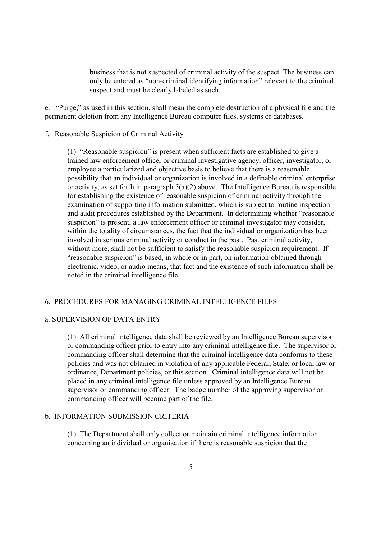business that is not suspected of criminal activity of the suspect. The business can only be entered as "non-criminal identifying information" relevant to the criminal suspect and must be clearly labeled as such.

e. "Purge," as used in this section, shall mean the complete destruction of a physical file and the permanent deletion from any Intelligence Bureau computer files, systems or databases.

#### f. Reasonable Suspicion of Criminal Activity

(1) "Reasonable suspicion" is present when sufficient facts are established to give a trained law enforcement officer or criminal investigative agency, officer, investigator, or employee a particularized and objective basis to believe that there is a reasonable possibility that an individual or organization is involved in a definable criminal enterprise or activity, as set forth in paragraph  $5(a)(2)$  above. The Intelligence Bureau is responsible for establishing the existence of reasonable suspicion of criminal activity through the examination of supporting information submitted, which is subject to routine inspection and audit procedures established by the Department. In determining whether "reasonable suspicion" is present, a law enforcement officer or criminal investigator may consider, within the totality of circumstances, the fact that the individual or organization has been involved in serious criminal activity or conduct in the past. Past criminal activity, without more, shall not be sufficient to satisfy the reasonable suspicion requirement. If "reasonable suspicion" is based, in whole or in part, on information obtained through electronic, video, or audio means, that fact and the existence of such information shall be noted in the criminal intelligence file.

#### 6. PROCEDURES FOR MANAGING CRIMINAL INTELLIGENCE FILES

#### a. SUPERVISION OF DATA ENTRY

(1) All criminal intelligence data shall be reviewed by an Intelligence Bureau supervisor or commanding officer prior to entry into any criminal intelligence file. The supervisor or commanding officer shall determine that the criminal intelligence data conforms to these policies and was not obtained in violation of any applicable Federal, State, or local law or ordinance, Department policies, or this section. Criminal intelligence data will not be placed in any criminal intelligence file unless approved by an Intelligence Bureau supervisor or commanding officer. The badge number of the approving supervisor or commanding officer will become part of the file.

#### b. INFORMATION SUBMISSION CRITERIA

(1) The Department shall only collect or maintain criminal intelligence information concerning an individual or organization if there is reasonable suspicion that the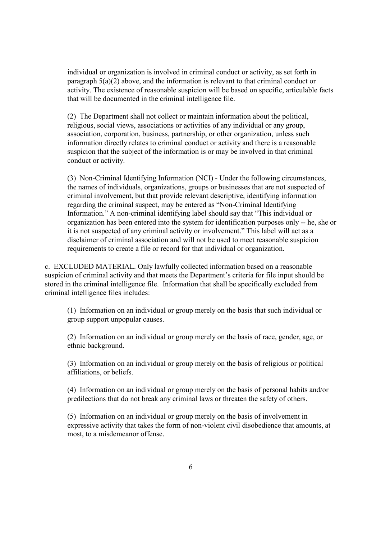individual or organization is involved in criminal conduct or activity, as set forth in paragraph 5(a)(2) above, and the information is relevant to that criminal conduct or activity. The existence of reasonable suspicion will be based on specific, articulable facts that will be documented in the criminal intelligence file.

(2) The Department shall not collect or maintain information about the political, religious, social views, associations or activities of any individual or any group, association, corporation, business, partnership, or other organization, unless such information directly relates to criminal conduct or activity and there is a reasonable suspicion that the subject of the information is or may be involved in that criminal conduct or activity.

(3) Non-Criminal Identifying Information (NCI) - Under the following circumstances, the names of individuals, organizations, groups or businesses that are not suspected of criminal involvement, but that provide relevant descriptive, identifying information regarding the criminal suspect, may be entered as "Non-Criminal Identifying Information." A non-criminal identifying label should say that "This individual or organization has been entered into the system for identification purposes only -- he, she or it is not suspected of any criminal activity or involvement." This label will act as a disclaimer of criminal association and will not be used to meet reasonable suspicion requirements to create a file or record for that individual or organization.

c. EXCLUDED MATERIAL. Only lawfully collected information based on a reasonable suspicion of criminal activity and that meets the Department's criteria for file input should be stored in the criminal intelligence file. Information that shall be specifically excluded from criminal intelligence files includes:

(1) Information on an individual or group merely on the basis that such individual or group support unpopular causes.

(2) Information on an individual or group merely on the basis of race, gender, age, or ethnic background.

(3) Information on an individual or group merely on the basis of religious or political affiliations, or beliefs.

(4) Information on an individual or group merely on the basis of personal habits and/or predilections that do not break any criminal laws or threaten the safety of others.

(5) Information on an individual or group merely on the basis of involvement in expressive activity that takes the form of non-violent civil disobedience that amounts, at most, to a misdemeanor offense.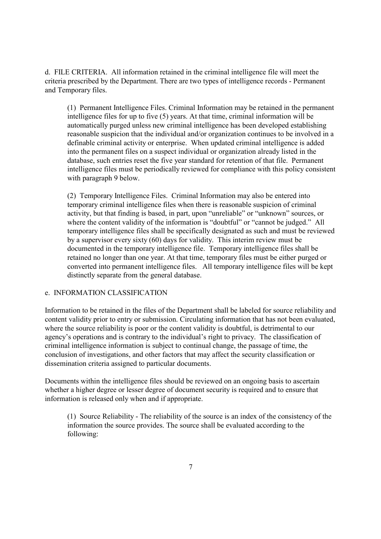d. FILE CRITERIA. All information retained in the criminal intelligence file will meet the criteria prescribed by the Department. There are two types of intelligence records - Permanent and Temporary files.

(1) Permanent Intelligence Files. Criminal Information may be retained in the permanent intelligence files for up to five (5) years. At that time, criminal information will be automatically purged unless new criminal intelligence has been developed establishing reasonable suspicion that the individual and/or organization continues to be involved in a definable criminal activity or enterprise. When updated criminal intelligence is added into the permanent files on a suspect individual or organization already listed in the database, such entries reset the five year standard for retention of that file. Permanent intelligence files must be periodically reviewed for compliance with this policy consistent with paragraph 9 below.

(2) Temporary Intelligence Files. Criminal Information may also be entered into temporary criminal intelligence files when there is reasonable suspicion of criminal activity, but that finding is based, in part, upon "unreliable" or "unknown" sources, or where the content validity of the information is "doubtful" or "cannot be judged." All temporary intelligence files shall be specifically designated as such and must be reviewed by a supervisor every sixty (60) days for validity. This interim review must be documented in the temporary intelligence file. Temporary intelligence files shall be retained no longer than one year. At that time, temporary files must be either purged or converted into permanent intelligence files. All temporary intelligence files will be kept distinctly separate from the general database.

## e. INFORMATION CLASSIFICATION

Information to be retained in the files of the Department shall be labeled for source reliability and content validity prior to entry or submission. Circulating information that has not been evaluated, where the source reliability is poor or the content validity is doubtful, is detrimental to our agency's operations and is contrary to the individual's right to privacy. The classification of criminal intelligence information is subject to continual change, the passage of time, the conclusion of investigations, and other factors that may affect the security classification or dissemination criteria assigned to particular documents.

Documents within the intelligence files should be reviewed on an ongoing basis to ascertain whether a higher degree or lesser degree of document security is required and to ensure that information is released only when and if appropriate.

(1) Source Reliability - The reliability of the source is an index of the consistency of the information the source provides. The source shall be evaluated according to the following: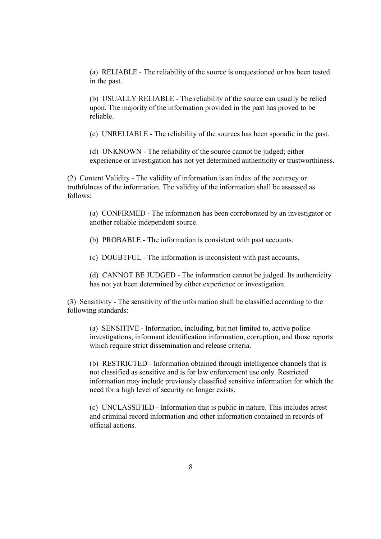(a) RELIABLE - The reliability of the source is unquestioned or has been tested in the past.

(b) USUALLY RELIABLE - The reliability of the source can usually be relied upon. The majority of the information provided in the past has proved to be reliable.

(c) UNRELIABLE - The reliability of the sources has been sporadic in the past.

(d) UNKNOWN - The reliability of the source cannot be judged; either experience or investigation has not yet determined authenticity or trustworthiness.

(2) Content Validity - The validity of information is an index of the accuracy or truthfulness of the information. The validity of the information shall be assessed as follows:

(a) CONFIRMED - The information has been corroborated by an investigator or another reliable independent source.

(b) PROBABLE - The information is consistent with past accounts.

(c) DOUBTFUL - The information is inconsistent with past accounts.

(d) CANNOT BE JUDGED - The information cannot be judged. Its authenticity has not yet been determined by either experience or investigation.

(3) Sensitivity - The sensitivity of the information shall be classified according to the following standards:

(a) SENSITIVE - Information, including, but not limited to, active police investigations, informant identification information, corruption, and those reports which require strict dissemination and release criteria.

(b) RESTRICTED - Information obtained through intelligence channels that is not classified as sensitive and is for law enforcement use only. Restricted information may include previously classified sensitive information for which the need for a high level of security no longer exists.

(c) UNCLASSIFIED - Information that is public in nature. This includes arrest and criminal record information and other information contained in records of official actions.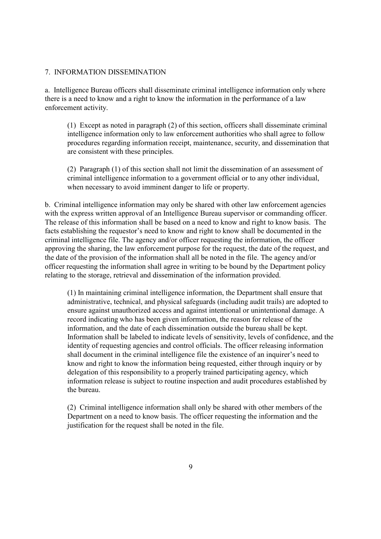#### 7. INFORMATION DISSEMINATION

a. Intelligence Bureau officers shall disseminate criminal intelligence information only where there is a need to know and a right to know the information in the performance of a law enforcement activity.

(1) Except as noted in paragraph (2) of this section, officers shall disseminate criminal intelligence information only to law enforcement authorities who shall agree to follow procedures regarding information receipt, maintenance, security, and dissemination that are consistent with these principles.

(2) Paragraph (1) of this section shall not limit the dissemination of an assessment of criminal intelligence information to a government official or to any other individual, when necessary to avoid imminent danger to life or property.

b. Criminal intelligence information may only be shared with other law enforcement agencies with the express written approval of an Intelligence Bureau supervisor or commanding officer. The release of this information shall be based on a need to know and right to know basis. The facts establishing the requestor's need to know and right to know shall be documented in the criminal intelligence file. The agency and/or officer requesting the information, the officer approving the sharing, the law enforcement purpose for the request, the date of the request, and the date of the provision of the information shall all be noted in the file. The agency and/or officer requesting the information shall agree in writing to be bound by the Department policy relating to the storage, retrieval and dissemination of the information provided.

(1) In maintaining criminal intelligence information, the Department shall ensure that administrative, technical, and physical safeguards (including audit trails) are adopted to ensure against unauthorized access and against intentional or unintentional damage. A record indicating who has been given information, the reason for release of the information, and the date of each dissemination outside the bureau shall be kept. Information shall be labeled to indicate levels of sensitivity, levels of confidence, and the identity of requesting agencies and control officials. The officer releasing information shall document in the criminal intelligence file the existence of an inquirer's need to know and right to know the information being requested, either through inquiry or by delegation of this responsibility to a properly trained participating agency, which information release is subject to routine inspection and audit procedures established by the bureau.

(2) Criminal intelligence information shall only be shared with other members of the Department on a need to know basis. The officer requesting the information and the justification for the request shall be noted in the file.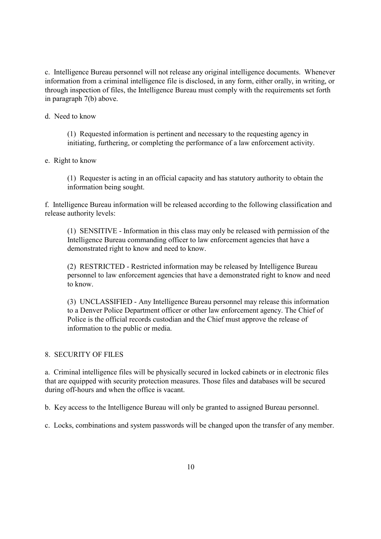c. Intelligence Bureau personnel will not release any original intelligence documents. Whenever information from a criminal intelligence file is disclosed, in any form, either orally, in writing, or through inspection of files, the Intelligence Bureau must comply with the requirements set forth in paragraph 7(b) above.

#### d. Need to know

(1) Requested information is pertinent and necessary to the requesting agency in initiating, furthering, or completing the performance of a law enforcement activity.

#### e. Right to know

(1) Requester is acting in an official capacity and has statutory authority to obtain the information being sought.

f. Intelligence Bureau information will be released according to the following classification and release authority levels:

(1) SENSITIVE - Information in this class may only be released with permission of the Intelligence Bureau commanding officer to law enforcement agencies that have a demonstrated right to know and need to know.

(2) RESTRICTED - Restricted information may be released by Intelligence Bureau personnel to law enforcement agencies that have a demonstrated right to know and need to know.

(3) UNCLASSIFIED - Any Intelligence Bureau personnel may release this information to a Denver Police Department officer or other law enforcement agency. The Chief of Police is the official records custodian and the Chief must approve the release of information to the public or media.

## 8. SECURITY OF FILES

a. Criminal intelligence files will be physically secured in locked cabinets or in electronic files that are equipped with security protection measures. Those files and databases will be secured during off-hours and when the office is vacant.

b. Key access to the Intelligence Bureau will only be granted to assigned Bureau personnel.

c. Locks, combinations and system passwords will be changed upon the transfer of any member.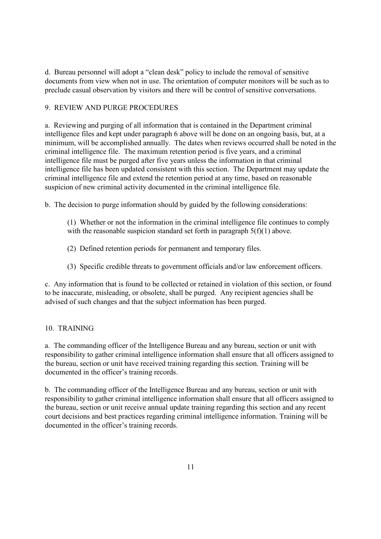d. Bureau personnel will adopt a "clean desk" policy to include the removal of sensitive documents from view when not in use. The orientation of computer monitors will be such as to preclude casual observation by visitors and there will be control of sensitive conversations.

# 9. REVIEW AND PURGE PROCEDURES

a. Reviewing and purging of all information that is contained in the Department criminal intelligence files and kept under paragraph 6 above will be done on an ongoing basis, but, at a minimum, will be accomplished annually. The dates when reviews occurred shall be noted in the criminal intelligence file. The maximum retention period is five years, and a criminal intelligence file must be purged after five years unless the information in that criminal intelligence file has been updated consistent with this section. The Department may update the criminal intelligence file and extend the retention period at any time, based on reasonable suspicion of new criminal activity documented in the criminal intelligence file.

b. The decision to purge information should by guided by the following considerations:

- (1) Whether or not the information in the criminal intelligence file continues to comply with the reasonable suspicion standard set forth in paragraph  $5(f)(1)$  above.
- (2) Defined retention periods for permanent and temporary files.
- (3) Specific credible threats to government officials and/or law enforcement officers.

c. Any information that is found to be collected or retained in violation of this section, or found to be inaccurate, misleading, or obsolete, shall be purged. Any recipient agencies shall be advised of such changes and that the subject information has been purged.

## 10. TRAINING

a. The commanding officer of the Intelligence Bureau and any bureau, section or unit with responsibility to gather criminal intelligence information shall ensure that all officers assigned to the bureau, section or unit have received training regarding this section. Training will be documented in the officer's training records.

b. The commanding officer of the Intelligence Bureau and any bureau, section or unit with responsibility to gather criminal intelligence information shall ensure that all officers assigned to the bureau, section or unit receive annual update training regarding this section and any recent court decisions and best practices regarding criminal intelligence information. Training will be documented in the officer's training records.